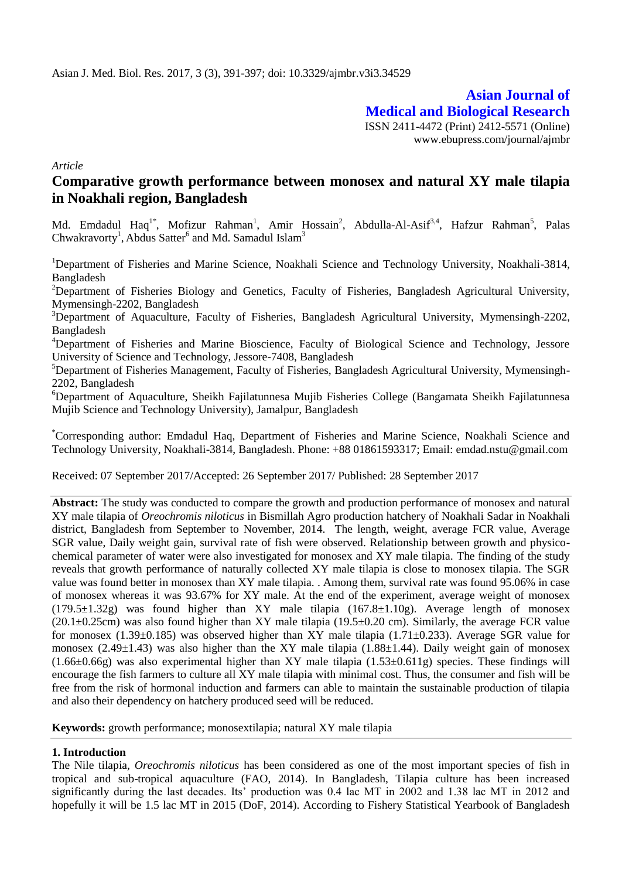**Asian Journal of Medical and Biological Research** ISSN 2411-4472 (Print) 2412-5571 (Online) www.ebupress.com/journal/ajmbr

*Article*

# **Comparative growth performance between monosex and natural XY male tilapia in Noakhali region, Bangladesh**

Md. Emdadul Haq<sup>1\*</sup>, Mofizur Rahman<sup>1</sup>, Amir Hossain<sup>2</sup>, Abdulla-Al-Asif<sup>3,4</sup>, Hafzur Rahman<sup>5</sup>, Palas Chwakravorty<sup>1</sup>, Abdus Satter<sup>6</sup> and Md. Samadul Islam<sup>3</sup>

<sup>1</sup>Department of Fisheries and Marine Science, Noakhali Science and Technology University, Noakhali-3814, Bangladesh

<sup>2</sup>Department of Fisheries Biology and Genetics, Faculty of Fisheries, Bangladesh Agricultural University, Mymensingh-2202, Bangladesh

<sup>3</sup>Department of Aquaculture, Faculty of Fisheries, Bangladesh Agricultural University, Mymensingh-2202, Bangladesh

<sup>4</sup>Department of Fisheries and Marine Bioscience, Faculty of Biological Science and Technology, Jessore University of Science and Technology, Jessore-7408, Bangladesh

<sup>5</sup>Department of Fisheries Management, Faculty of Fisheries, Bangladesh Agricultural University, Mymensingh-2202, Bangladesh

<sup>6</sup>Department of Aquaculture, Sheikh Fajilatunnesa Mujib Fisheries College (Bangamata Sheikh Fajilatunnesa Mujib Science and Technology University), Jamalpur, Bangladesh

\*Corresponding author: Emdadul Haq, Department of Fisheries and Marine Science, Noakhali Science and Technology University, Noakhali-3814, Bangladesh. Phone: +88 01861593317; Email: emdad.nstu@gmail.com

Received: 07 September 2017/Accepted: 26 September 2017/ Published: 28 September 2017

**Abstract:** The study was conducted to compare the growth and production performance of monosex and natural XY male tilapia of *Oreochromis niloticus* in Bismillah Agro production hatchery of Noakhali Sadar in Noakhali district, Bangladesh from September to November, 2014. The length, weight, average FCR value, Average SGR value, Daily weight gain, survival rate of fish were observed. Relationship between growth and physicochemical parameter of water were also investigated for monosex and XY male tilapia. The finding of the study reveals that growth performance of naturally collected XY male tilapia is close to monosex tilapia. The SGR value was found better in monosex than XY male tilapia. . Among them, survival rate was found 95.06% in case of monosex whereas it was 93.67% for XY male. At the end of the experiment, average weight of monosex (179.5±1.32g) was found higher than XY male tilapia (167.8±1.10g). Average length of monosex  $(20.1\pm0.25cm)$  was also found higher than XY male tilapia  $(19.5\pm0.20$  cm). Similarly, the average FCR value for monosex (1.39 $\pm$ 0.185) was observed higher than XY male tilapia (1.71 $\pm$ 0.233). Average SGR value for monosex (2.49 $\pm$ 1.43) was also higher than the XY male tilapia (1.88 $\pm$ 1.44). Daily weight gain of monosex  $(1.66\pm0.66g)$  was also experimental higher than XY male tilapia  $(1.53\pm0.611g)$  species. These findings will encourage the fish farmers to culture all XY male tilapia with minimal cost. Thus, the consumer and fish will be free from the risk of hormonal induction and farmers can able to maintain the sustainable production of tilapia and also their dependency on hatchery produced seed will be reduced.

**Keywords:** growth performance; monosextilapia; natural XY male tilapia

# **1. Introduction**

The Nile tilapia, *Oreochromis niloticus* has been considered as one of the most important species of fish in tropical and sub-tropical aquaculture (FAO, 2014). In Bangladesh, Tilapia culture has been increased significantly during the last decades. Its' production was 0.4 lac MT in 2002 and 1.38 lac MT in 2012 and hopefully it will be 1.5 lac MT in 2015 (DoF, 2014). According to Fishery Statistical Yearbook of Bangladesh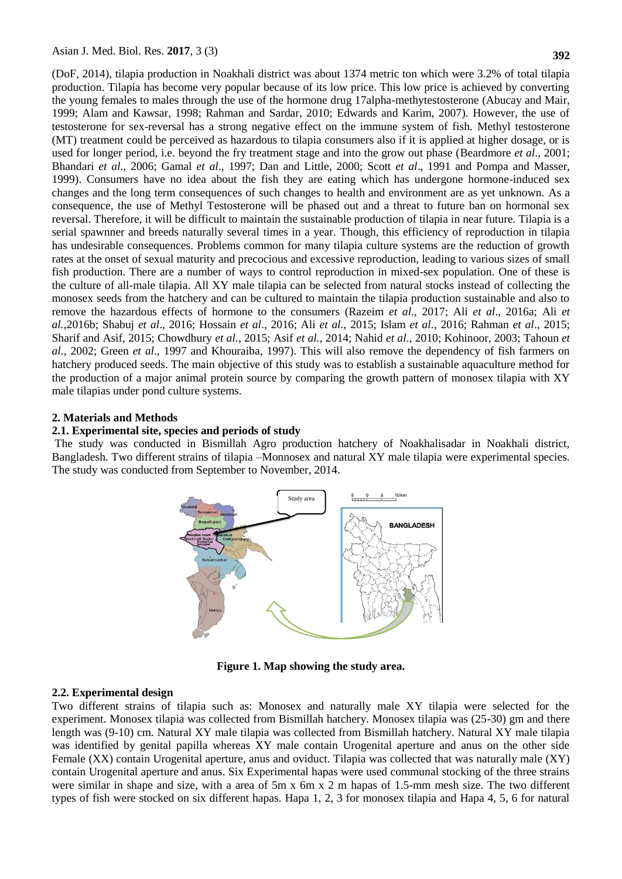(DoF, 2014), tilapia production in Noakhali district was about 1374 metric ton which were 3.2% of total tilapia production. Tilapia has become very popular because of its low price. This low price is achieved by converting the young females to males through the use of the hormone drug 17alpha-methytestosterone (Abucay and Mair, 1999; Alam and Kawsar, 1998; Rahman and Sardar, 2010; Edwards and Karim, 2007). However, the use of testosterone for sex-reversal has a strong negative effect on the immune system of fish. Methyl testosterone (MT) treatment could be perceived as hazardous to tilapia consumers also if it is applied at higher dosage, or is used for longer period, i.e. beyond the fry treatment stage and into the grow out phase (Beardmore *et al*., 2001; Bhandari *et al*., 2006; Gamal *et al*., 1997; Dan and Little, 2000; Scott *et al*., 1991 and Pompa and Masser, 1999). Consumers have no idea about the fish they are eating which has undergone hormone-induced sex changes and the long term consequences of such changes to health and environment are as yet unknown. As a consequence, the use of Methyl Testosterone will be phased out and a threat to future ban on hormonal sex reversal. Therefore, it will be difficult to maintain the sustainable production of tilapia in near future. Tilapia is a serial spawnner and breeds naturally several times in a year. Though, this efficiency of reproduction in tilapia has undesirable consequences. Problems common for many tilapia culture systems are the reduction of growth rates at the onset of sexual maturity and precocious and excessive reproduction, leading to various sizes of small fish production. There are a number of ways to control reproduction in mixed-sex population. One of these is the culture of all-male tilapia. All XY male tilapia can be selected from natural stocks instead of collecting the monosex seeds from the hatchery and can be cultured to maintain the tilapia production sustainable and also to remove the hazardous effects of hormone to the consumers (Razeim *et al.*, 2017; Ali *et al*., 2016a; Ali *et al.*,2016b; Shabuj *et al*., 2016; Hossain *et al*., 2016; Ali *et al.*, 2015; Islam *et al.*, 2016; Rahman *et al*., 2015; Sharif and Asif, 2015; Chowdhury *et al.*, 2015; Asif *et al.*, 2014; Nahid *et al*., 2010; Kohinoor, 2003; Tahoun *et al*., 2002; Green *et al*., 1997 and Khouraiba, 1997). This will also remove the dependency of fish farmers on hatchery produced seeds. The main objective of this study was to establish a sustainable aquaculture method for the production of a major animal protein source by comparing the growth pattern of monosex tilapia with XY male tilapias under pond culture systems.

#### **2. Materials and Methods**

#### **2.1. Experimental site, species and periods of study**

The study was conducted in Bismillah Agro production hatchery of Noakhalisadar in Noakhali district, Bangladesh. Two different strains of tilapia –Monnosex and natural XY male tilapia were experimental species. The study was conducted from September to November, 2014.



**Figure 1. Map showing the study area.**

#### **2.2. Experimental design**

Two different strains of tilapia such as: Monosex and naturally male XY tilapia were selected for the experiment. Monosex tilapia was collected from Bismillah hatchery. Monosex tilapia was (25-30) gm and there length was (9-10) cm. Natural XY male tilapia was collected from Bismillah hatchery. Natural XY male tilapia was identified by genital papilla whereas XY male contain Urogenital aperture and anus on the other side Female (XX) contain Urogenital aperture, anus and oviduct. Tilapia was collected that was naturally male (XY) contain Urogenital aperture and anus. Six Experimental hapas were used communal stocking of the three strains were similar in shape and size, with a area of 5m x 6m x 2 m hapas of 1.5-mm mesh size. The two different types of fish were stocked on six different hapas. Hapa 1, 2, 3 for monosex tilapia and Hapa 4, 5, 6 for natural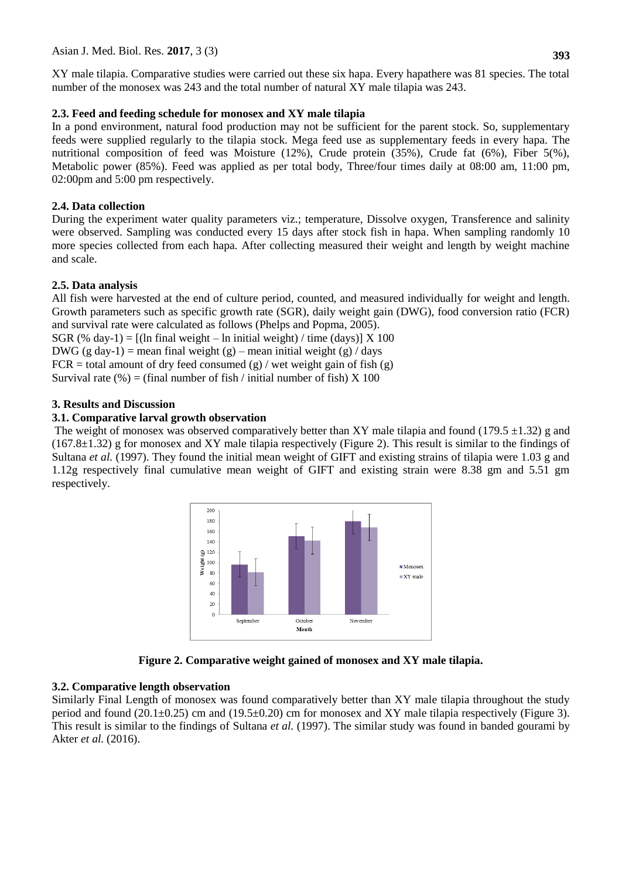XY male tilapia. Comparative studies were carried out these six hapa. Every hapathere was 81 species. The total number of the monosex was 243 and the total number of natural XY male tilapia was 243.

# **2.3. Feed and feeding schedule for monosex and XY male tilapia**

In a pond environment, natural food production may not be sufficient for the parent stock. So, supplementary feeds were supplied regularly to the tilapia stock. Mega feed use as supplementary feeds in every hapa. The nutritional composition of feed was Moisture (12%), Crude protein (35%), Crude fat (6%), Fiber 5(%), Metabolic power (85%). Feed was applied as per total body, Three/four times daily at 08:00 am, 11:00 pm, 02:00pm and 5:00 pm respectively.

# **2.4. Data collection**

During the experiment water quality parameters viz.; temperature, Dissolve oxygen, Transference and salinity were observed. Sampling was conducted every 15 days after stock fish in hapa. When sampling randomly 10 more species collected from each hapa. After collecting measured their weight and length by weight machine and scale.

#### **2.5. Data analysis**

All fish were harvested at the end of culture period, counted, and measured individually for weight and length. Growth parameters such as specific growth rate (SGR), daily weight gain (DWG), food conversion ratio (FCR) and survival rate were calculated as follows (Phelps and Popma, 2005).

SGR (% day-1) =  $[(\ln \text{final weight} - \ln \text{initial weight}) / \text{time (days)}] \times 100$ 

DWG (g day-1) = mean final weight (g) – mean initial weight (g) / days

 $FCR = total$  amount of dry feed consumed (g) / wet weight gain of fish (g)

Survival rate (%) = (final number of fish / initial number of fish)  $X$  100

# **3. Results and Discussion**

# **3.1. Comparative larval growth observation**

The weight of monosex was observed comparatively better than XY male tilapia and found (179.5  $\pm$ 1.32) g and  $(167.8\pm1.32)$  g for monosex and XY male tilapia respectively (Figure 2). This result is similar to the findings of Sultana *et al.* (1997). They found the initial mean weight of GIFT and existing strains of tilapia were 1.03 g and 1.12g respectively final cumulative mean weight of GIFT and existing strain were 8.38 gm and 5.51 gm respectively.



**Figure 2. Comparative weight gained of monosex and XY male tilapia.**

# **3.2. Comparative length observation**

Similarly Final Length of monosex was found comparatively better than XY male tilapia throughout the study period and found (20.1±0.25) cm and (19.5±0.20) cm for monosex and XY male tilapia respectively (Figure 3). This result is similar to the findings of Sultana *et al.* (1997). The similar study was found in banded gourami by Akter *et al.* (2016).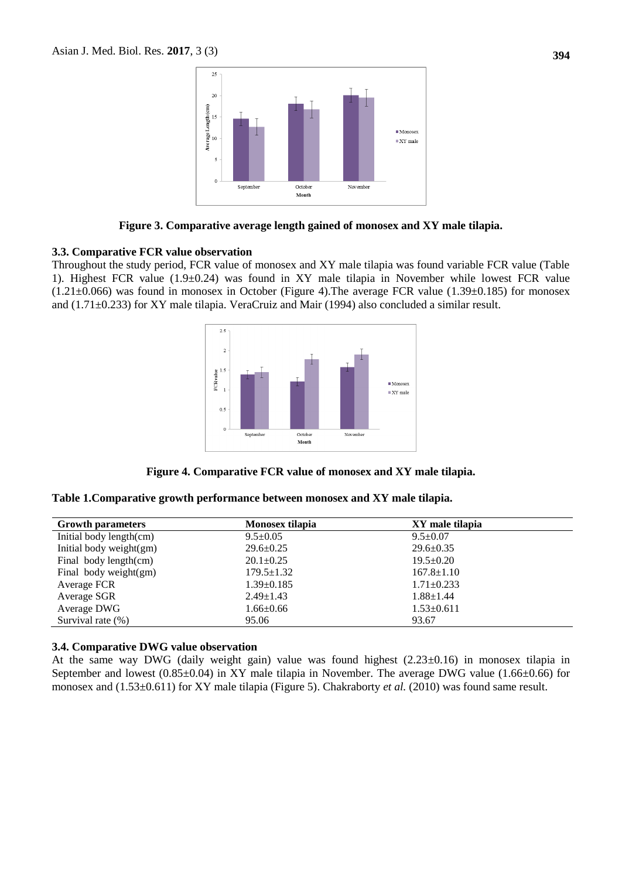

**Figure 3. Comparative average length gained of monosex and XY male tilapia.**

#### **3.3. Comparative FCR value observation**

Throughout the study period, FCR value of monosex and XY male tilapia was found variable FCR value (Table 1). Highest FCR value (1.9±0.24) was found in XY male tilapia in November while lowest FCR value  $(1.21\pm0.066)$  was found in monosex in October (Figure 4). The average FCR value (1.39 $\pm$ 0.185) for monosex and (1.71±0.233) for XY male tilapia. VeraCruiz and Mair (1994) also concluded a similar result.



**Figure 4. Comparative FCR value of monosex and XY male tilapia.**

|  | Table 1. Comparative growth performance between monosex and XY male tilapia. |  |
|--|------------------------------------------------------------------------------|--|
|--|------------------------------------------------------------------------------|--|

| <b>Growth parameters</b> | Monosex tilapia  | XY male tilapia  |
|--------------------------|------------------|------------------|
| Initial body length(cm)  | $9.5 \pm 0.05$   | $9.5 \pm 0.07$   |
| Initial body weight(gm)  | $29.6 \pm 0.25$  | $29.6 \pm 0.35$  |
| Final body length(cm)    | $20.1 \pm 0.25$  | $19.5 \pm 0.20$  |
| Final body weight(gm)    | $179.5 \pm 1.32$ | $167.8 \pm 1.10$ |
| Average FCR              | $1.39 \pm 0.185$ | $1.71 \pm 0.233$ |
| Average SGR              | $2.49 \pm 1.43$  | $1.88 \pm 1.44$  |
| Average DWG              | $1.66 \pm 0.66$  | $1.53 \pm 0.611$ |
| Survival rate (%)        | 95.06            | 93.67            |

#### **3.4. Comparative DWG value observation**

At the same way DWG (daily weight gain) value was found highest (2.23±0.16) in monosex tilapia in September and lowest (0.85±0.04) in XY male tilapia in November. The average DWG value (1.66±0.66) for monosex and (1.53±0.611) for XY male tilapia (Figure 5). Chakraborty *et al.* (2010) was found same result.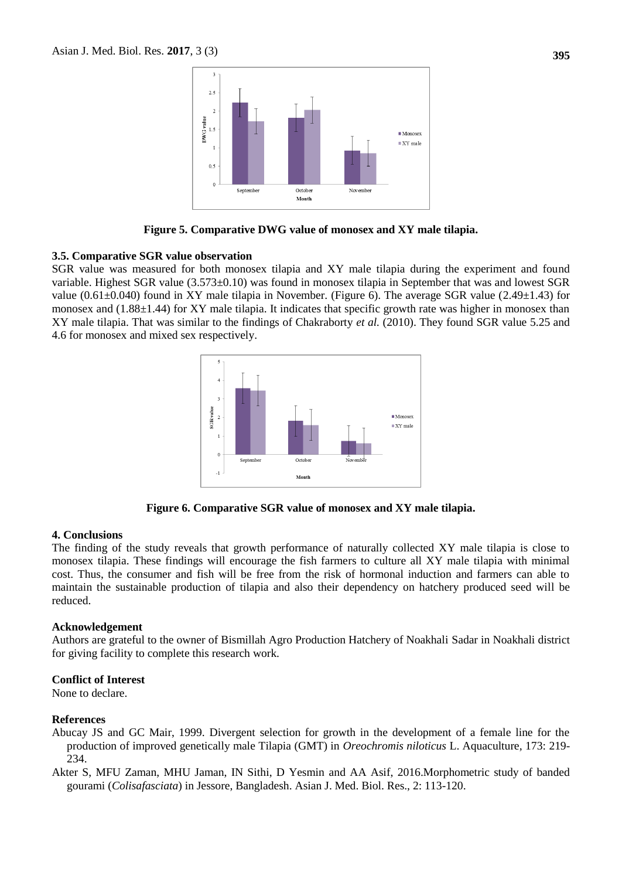

**Figure 5. Comparative DWG value of monosex and XY male tilapia.**

# **3.5. Comparative SGR value observation**

SGR value was measured for both monosex tilapia and XY male tilapia during the experiment and found variable. Highest SGR value (3.573±0.10) was found in monosex tilapia in September that was and lowest SGR value (0.61 $\pm$ 0.040) found in XY male tilapia in November. (Figure 6). The average SGR value (2.49 $\pm$ 1.43) for monosex and (1.88±1.44) for XY male tilapia. It indicates that specific growth rate was higher in monosex than XY male tilapia. That was similar to the findings of Chakraborty *et al.* (2010). They found SGR value 5.25 and 4.6 for monosex and mixed sex respectively.



**Figure 6. Comparative SGR value of monosex and XY male tilapia.**

# **4. Conclusions**

The finding of the study reveals that growth performance of naturally collected XY male tilapia is close to monosex tilapia. These findings will encourage the fish farmers to culture all XY male tilapia with minimal cost. Thus, the consumer and fish will be free from the risk of hormonal induction and farmers can able to maintain the sustainable production of tilapia and also their dependency on hatchery produced seed will be reduced.

# **Acknowledgement**

Authors are grateful to the owner of Bismillah Agro Production Hatchery of Noakhali Sadar in Noakhali district for giving facility to complete this research work.

# **Conflict of Interest**

None to declare.

# **References**

Abucay JS and GC Mair, 1999. Divergent selection for growth in the development of a female line for the production of improved genetically male Tilapia (GMT) in *Oreochromis niloticus* L. Aquaculture*,* 173: 219- 234.

Akter S, MFU Zaman, MHU Jaman, IN Sithi, D Yesmin and AA Asif, 2016.Morphometric study of banded gourami (*Colisafasciata*) in Jessore, Bangladesh. Asian J. Med. Biol. Res., 2: 113-120.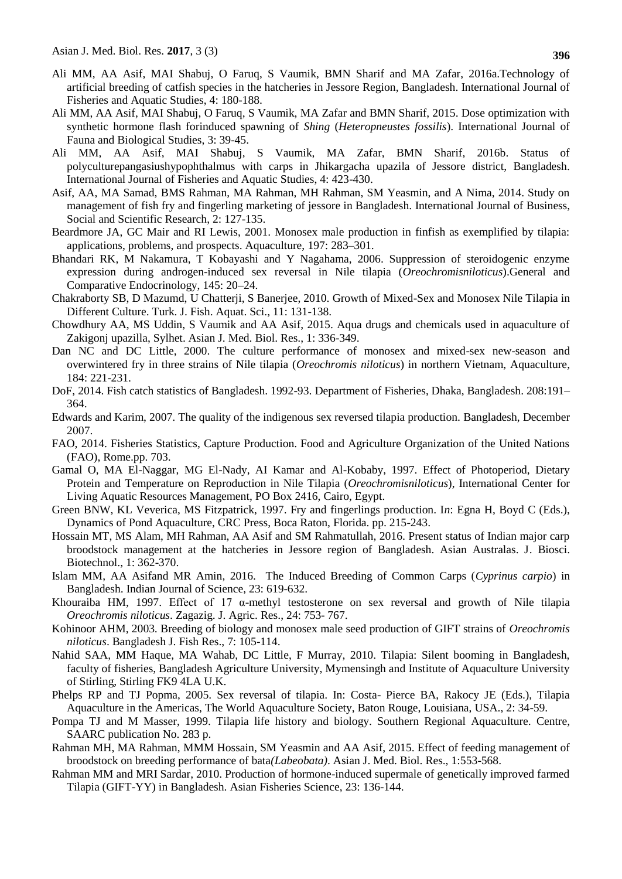- Ali MM, AA Asif, MAI Shabuj, O Faruq, S Vaumik, BMN Sharif and MA Zafar, 2016a.Technology of artificial breeding of catfish species in the hatcheries in Jessore Region, Bangladesh. International Journal of Fisheries and Aquatic Studies, 4: 180-188.
- Ali MM, AA Asif, MAI Shabuj, O Faruq, S Vaumik, MA Zafar and BMN Sharif, 2015. Dose optimization with synthetic hormone flash forinduced spawning of *Shing* (*Heteropneustes fossilis*). International Journal of Fauna and Biological Studies, 3: 39-45.
- Ali MM, AA Asif, MAI Shabuj, S Vaumik, MA Zafar, BMN Sharif, 2016b. Status of polyculturepangasiushypophthalmus with carps in Jhikargacha upazila of Jessore district, Bangladesh. International Journal of Fisheries and Aquatic Studies, 4: 423-430.
- Asif, AA, MA Samad, BMS Rahman, MA Rahman, MH Rahman, SM Yeasmin, and A Nima, 2014. Study on management of fish fry and fingerling marketing of jessore in Bangladesh. International Journal of Business, Social and Scientific Research, 2: 127-135.
- Beardmore JA, GC Mair and RI Lewis, 2001. Monosex male production in finfish as exemplified by tilapia: applications, problems, and prospects. Aquaculture, 197: 283–301.
- Bhandari RK, M Nakamura, T Kobayashi and Y Nagahama, 2006. Suppression of steroidogenic enzyme expression during androgen-induced sex reversal in Nile tilapia (*Oreochromisniloticus*).General and Comparative Endocrinology, 145: 20–24.
- Chakraborty SB, D Mazumd, U Chatterji, S Banerjee, 2010. Growth of Mixed-Sex and Monosex Nile Tilapia in Different Culture. Turk. J. Fish. Aquat. Sci., 11: 131-138.
- Chowdhury AA, MS Uddin, S Vaumik and AA Asif, 2015. Aqua drugs and chemicals used in aquaculture of Zakigonj upazilla, Sylhet. Asian J. Med. Biol. Res., 1: 336-349.
- Dan NC and DC Little, 2000. The culture performance of monosex and mixed-sex new-season and overwintered fry in three strains of Nile tilapia (*Oreochromis niloticus*) in northern Vietnam, Aquaculture, 184: 221-231.
- DoF, 2014. Fish catch statistics of Bangladesh. 1992-93. Department of Fisheries, Dhaka, Bangladesh. 208:191– 364.
- Edwards and Karim, 2007. The quality of the indigenous sex reversed tilapia production. Bangladesh, December 2007.
- FAO, 2014. Fisheries Statistics, Capture Production. Food and Agriculture Organization of the United Nations (FAO), Rome.pp. 703.
- Gamal O, MA El-Naggar, MG El-Nady, AI Kamar and Al-Kobaby, 1997. Effect of Photoperiod, Dietary Protein and Temperature on Reproduction in Nile Tilapia (*Oreochromisniloticus*), International Center for Living Aquatic Resources Management, PO Box 2416, Cairo, Egypt.
- Green BNW, KL Veverica, MS Fitzpatrick, 1997. Fry and fingerlings production. I*n*: Egna H, Boyd C (Eds.), Dynamics of Pond Aquaculture, CRC Press, Boca Raton, Florida. pp. 215-243.
- Hossain MT, MS Alam, MH Rahman, AA Asif and SM Rahmatullah, 2016. Present status of Indian major carp broodstock management at the hatcheries in Jessore region of Bangladesh. Asian Australas. J. Biosci. Biotechnol., 1: 362-370.
- Islam MM, AA Asifand MR Amin, 2016. The Induced Breeding of Common Carps (*Cyprinus carpio*) in Bangladesh. Indian Journal of Science, 23: 619-632.
- Khouraiba HM, 1997. Effect of 17  $\alpha$ -methyl testosterone on sex reversal and growth of Nile tilapia *Oreochromis niloticus*. Zagazig. J. Agric. Res., 24: 753- 767.
- Kohinoor AHM, 2003. Breeding of biology and monosex male seed production of GIFT strains of *Oreochromis niloticus*. Bangladesh J. Fish Res., 7: 105-114.
- Nahid SAA, MM Haque, MA Wahab, DC Little, F Murray, 2010. Tilapia: Silent booming in Bangladesh, faculty of fisheries, Bangladesh Agriculture University, Mymensingh and Institute of Aquaculture University of Stirling, Stirling FK9 4LA U.K.
- Phelps RP and TJ Popma, 2005. Sex reversal of tilapia. In: Costa- Pierce BA, Rakocy JE (Eds.), Tilapia Aquaculture in the Americas, The World Aquaculture Society, Baton Rouge, Louisiana, USA., 2: 34-59.
- Pompa TJ and M Masser, 1999. Tilapia life history and biology. Southern Regional Aquaculture. Centre, SAARC publication No. 283 p.
- Rahman MH, MA Rahman, MMM Hossain, SM Yeasmin and AA Asif, 2015. Effect of feeding management of broodstock on breeding performance of bata*(Labeobata)*. Asian J. Med. Biol. Res., 1:553-568.
- Rahman MM and MRI Sardar, 2010. Production of hormone-induced supermale of genetically improved farmed Tilapia (GIFT-YY) in Bangladesh. Asian Fisheries Science, 23: 136-144.